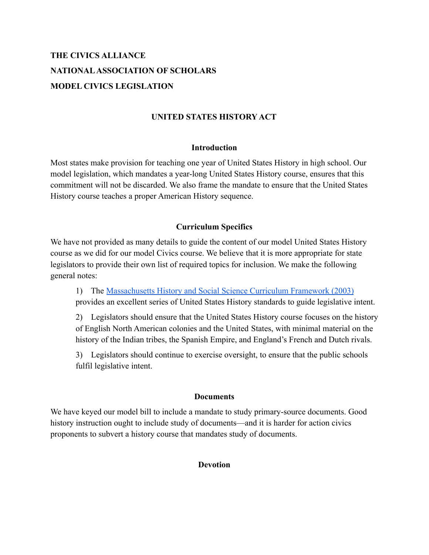# **THE CIVICS ALLIANCE NATIONALASSOCIATION OF SCHOLARS MODEL CIVICS LEGISLATION**

### **UNITED STATES HISTORY ACT**

#### **Introduction**

Most states make provision for teaching one year of United States History in high school. Our model legislation, which mandates a year-long United States History course, ensures that this commitment will not be discarded. We also frame the mandate to ensure that the United States History course teaches a proper American History sequence.

### **Curriculum Specifics**

We have not provided as many details to guide the content of our model United States History course as we did for our model Civics course. We believe that it is more appropriate for state legislators to provide their own list of required topics for inclusion. We make the following general notes:

1) The [Massachusetts History and Social Science](https://www.nas.org/storage/app/media/New%20Documents/2003-08.pdf) Curriculum Framework (2003) provides an excellent series of United States History standards to guide legislative intent.

2) Legislators should ensure that the United States History course focuses on the history of English North American colonies and the United States, with minimal material on the history of the Indian tribes, the Spanish Empire, and England's French and Dutch rivals.

3) Legislators should continue to exercise oversight, to ensure that the public schools fulfil legislative intent.

### **Documents**

We have keyed our model bill to include a mandate to study primary-source documents. Good history instruction ought to include study of documents—and it is harder for action civics proponents to subvert a history course that mandates study of documents.

### **Devotion**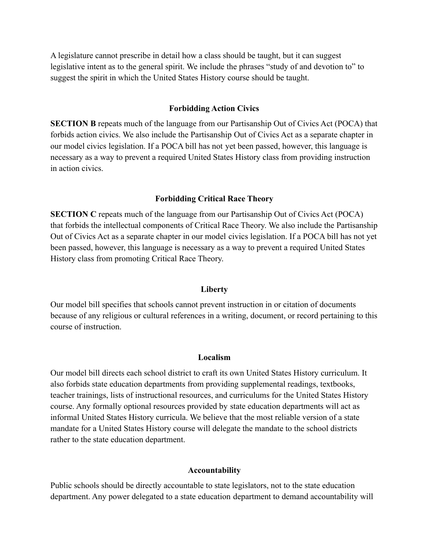A legislature cannot prescribe in detail how a class should be taught, but it can suggest legislative intent as to the general spirit. We include the phrases "study of and devotion to" to suggest the spirit in which the United States History course should be taught.

#### **Forbidding Action Civics**

**SECTION B** repeats much of the language from our Partisanship Out of Civics Act (POCA) that forbids action civics. We also include the Partisanship Out of Civics Act as a separate chapter in our model civics legislation. If a POCA bill has not yet been passed, however, this language is necessary as a way to prevent a required United States History class from providing instruction in action civics.

#### **Forbidding Critical Race Theory**

**SECTION C** repeats much of the language from our Partisanship Out of Civics Act (POCA) that forbids the intellectual components of Critical Race Theory. We also include the Partisanship Out of Civics Act as a separate chapter in our model civics legislation. If a POCA bill has not yet been passed, however, this language is necessary as a way to prevent a required United States History class from promoting Critical Race Theory.

#### **Liberty**

Our model bill specifies that schools cannot prevent instruction in or citation of documents because of any religious or cultural references in a writing, document, or record pertaining to this course of instruction.

#### **Localism**

Our model bill directs each school district to craft its own United States History curriculum. It also forbids state education departments from providing supplemental readings, textbooks, teacher trainings, lists of instructional resources, and curriculums for the United States History course. Any formally optional resources provided by state education departments will act as informal United States History curricula. We believe that the most reliable version of a state mandate for a United States History course will delegate the mandate to the school districts rather to the state education department.

#### **Accountability**

Public schools should be directly accountable to state legislators, not to the state education department. Any power delegated to a state education department to demand accountability will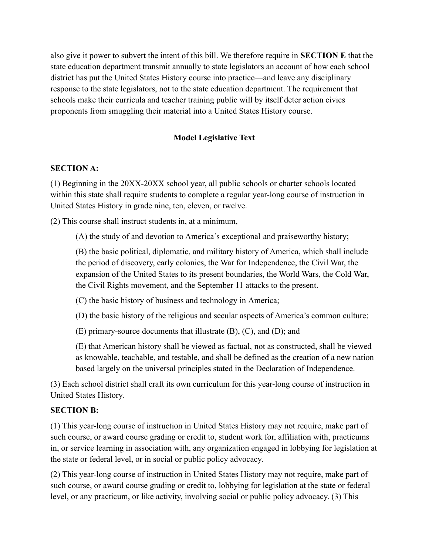also give it power to subvert the intent of this bill. We therefore require in **SECTION E** that the state education department transmit annually to state legislators an account of how each school district has put the United States History course into practice—and leave any disciplinary response to the state legislators, not to the state education department. The requirement that schools make their curricula and teacher training public will by itself deter action civics proponents from smuggling their material into a United States History course.

# **Model Legislative Text**

### **SECTION A:**

(1) Beginning in the 20XX-20XX school year, all public schools or charter schools located within this state shall require students to complete a regular year-long course of instruction in United States History in grade nine, ten, eleven, or twelve.

(2) This course shall instruct students in, at a minimum,

(A) the study of and devotion to America's exceptional and praiseworthy history;

(B) the basic political, diplomatic, and military history of America, which shall include the period of discovery, early colonies, the War for Independence, the Civil War, the expansion of the United States to its present boundaries, the World Wars, the Cold War, the Civil Rights movement, and the September 11 attacks to the present.

(C) the basic history of business and technology in America;

(D) the basic history of the religious and secular aspects of America's common culture;

(E) primary-source documents that illustrate (B), (C), and (D); and

(E) that American history shall be viewed as factual, not as constructed, shall be viewed as knowable, teachable, and testable, and shall be defined as the creation of a new nation based largely on the universal principles stated in the Declaration of Independence.

(3) Each school district shall craft its own curriculum for this year-long course of instruction in United States History.

### **SECTION B:**

(1) This year-long course of instruction in United States History may not require, make part of such course, or award course grading or credit to, student work for, affiliation with, practicums in, or service learning in association with, any organization engaged in lobbying for legislation at the state or federal level, or in social or public policy advocacy.

(2) This year-long course of instruction in United States History may not require, make part of such course, or award course grading or credit to, lobbying for legislation at the state or federal level, or any practicum, or like activity, involving social or public policy advocacy. (3) This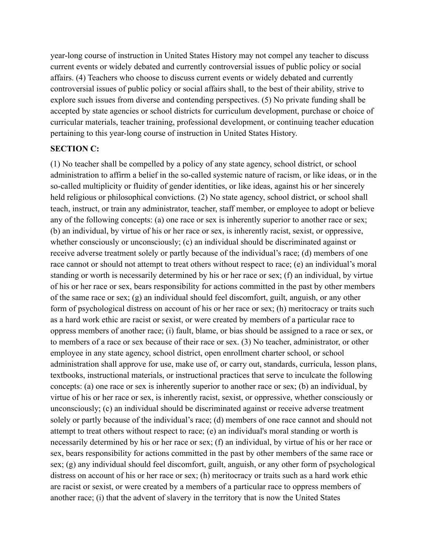year-long course of instruction in United States History may not compel any teacher to discuss current events or widely debated and currently controversial issues of public policy or social affairs. (4) Teachers who choose to discuss current events or widely debated and currently controversial issues of public policy or social affairs shall, to the best of their ability, strive to explore such issues from diverse and contending perspectives. (5) No private funding shall be accepted by state agencies or school districts for curriculum development, purchase or choice of curricular materials, teacher training, professional development, or continuing teacher education pertaining to this year-long course of instruction in United States History.

### **SECTION C:**

(1) No teacher shall be compelled by a policy of any state agency, school district, or school administration to affirm a belief in the so-called systemic nature of racism, or like ideas, or in the so-called multiplicity or fluidity of gender identities, or like ideas, against his or her sincerely held religious or philosophical convictions. (2) No state agency, school district, or school shall teach, instruct, or train any administrator, teacher, staff member, or employee to adopt or believe any of the following concepts: (a) one race or sex is inherently superior to another race or sex; (b) an individual, by virtue of his or her race or sex, is inherently racist, sexist, or oppressive, whether consciously or unconsciously; (c) an individual should be discriminated against or receive adverse treatment solely or partly because of the individual's race; (d) members of one race cannot or should not attempt to treat others without respect to race; (e) an individual's moral standing or worth is necessarily determined by his or her race or sex; (f) an individual, by virtue of his or her race or sex, bears responsibility for actions committed in the past by other members of the same race or sex; (g) an individual should feel discomfort, guilt, anguish, or any other form of psychological distress on account of his or her race or sex; (h) meritocracy or traits such as a hard work ethic are racist or sexist, or were created by members of a particular race to oppress members of another race; (i) fault, blame, or bias should be assigned to a race or sex, or to members of a race or sex because of their race or sex. (3) No teacher, administrator, or other employee in any state agency, school district, open enrollment charter school, or school administration shall approve for use, make use of, or carry out, standards, curricula, lesson plans, textbooks, instructional materials, or instructional practices that serve to inculcate the following concepts: (a) one race or sex is inherently superior to another race or sex; (b) an individual, by virtue of his or her race or sex, is inherently racist, sexist, or oppressive, whether consciously or unconsciously; (c) an individual should be discriminated against or receive adverse treatment solely or partly because of the individual's race; (d) members of one race cannot and should not attempt to treat others without respect to race; (e) an individual's moral standing or worth is necessarily determined by his or her race or sex; (f) an individual, by virtue of his or her race or sex, bears responsibility for actions committed in the past by other members of the same race or sex; (g) any individual should feel discomfort, guilt, anguish, or any other form of psychological distress on account of his or her race or sex; (h) meritocracy or traits such as a hard work ethic are racist or sexist, or were created by a members of a particular race to oppress members of another race; (i) that the advent of slavery in the territory that is now the United States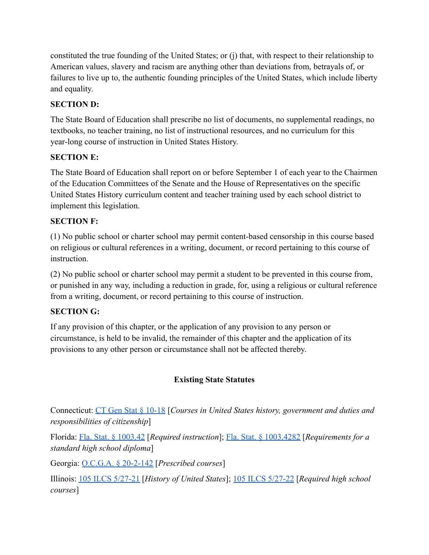constituted the true founding of the United States; or (j) that, with respect to their relationship to American values, slavery and racism are anything other than deviations from, betrayals of, or failures to live up to, the authentic founding principles of the United States, which include liberty and equality.

# **SECTION D:**

The State Board of Education shall prescribe no list of documents, no supplemental readings, no textbooks, no teacher training, no list of instructional resources, and no curriculum for this year-long course of instruction in United States History.

# **SECTION E:**

The State Board of Education shall report on or before September 1 of each year to the Chairmen of the Education Committees of the Senate and the House of Representatives on the specific United States History curriculum content and teacher training used by each school district to implement this legislation.

# **SECTION F:**

(1) No public school or charter school may permit content-based censorship in this course based on religious or cultural references in a writing, document, or record pertaining to this course of instruction.

(2) No public school or charter school may permit a student to be prevented in this course from, or punished in any way, including a reduction in grade, for, using a religious or cultural reference from a writing, document, or record pertaining to this course of instruction.

# **SECTION G:**

If any provision of this chapter, or the application of any provision to any person or circumstance, is held to be invalid, the remainder of this chapter and the application of its provisions to any other person or circumstance shall not be affected thereby.

# **Existing State Statutes**

Connecticut: [CT Gen Stat § 10-18](https://www.lawserver.com/law/state/connecticut/ct-laws/connecticut_statutes_10-18) [*Courses in United States history, government and duties and responsibilities of citizenship*]

Florida: [Fla. Stat. § 1003.42](http://www.leg.state.fl.us/Statutes/index.cfm?App_mode=Display_Statute&Search_String=&URL=1000-1099/1003/Sections/1003.42.html) [*Required instruction*]; [Fla. Stat. § 1003.4282](http://www.leg.state.fl.us/Statutes/index.cfm?App_mode=Display_Statute&Search_String=&URL=1000-1099/1003/Sections/1003.4282.html) [*Requirements for a standard high school diploma*]

Georgia: [O.C.G.A. § 20-2-142](https://law.justia.com/codes/georgia/2019/title-20/chapter-2/article-6/part-2/section-20-2-142/) [*Prescribed courses*]

Illinois: [105 ILCS 5/27-21](https://www.ilga.gov/legislation/ilcs/fulltext.asp?DocName=010500050K27-21) [*History of United States*]; [105 ILCS 5/27-22](https://ilga.gov/legislation/ilcs/fulltext.asp?DocName=010500050K27-22) [*Required high school courses*]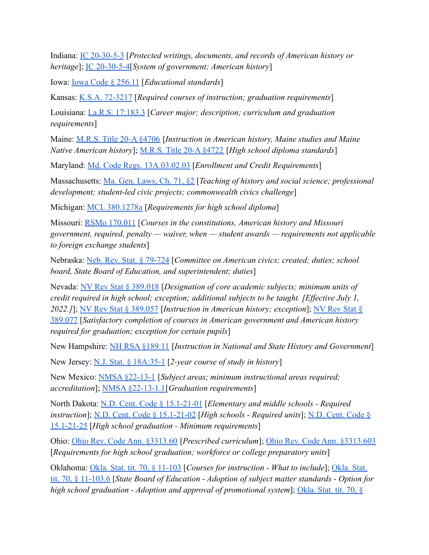Indiana: [IC 20-30-5-3](http://iga.in.gov/legislative/laws/2020/ic/titles/020#20-30-5-3) [*Protected writings, documents, and records of American history or heritage*]; [IC 20-30-5-4](http://iga.in.gov/legislative/laws/2020/ic/titles/020#20-30-5-4)[*System of government; American history*]

Iowa: [Iowa Code § 256.11](https://www.legis.iowa.gov/docs/code/2021/256.11.pdf) [*Educational standards*]

Kansas: [K.S.A. 72-3217](https://www.ksrevisor.org/statutes/chapters/ch72/072_032_0017.html) [*Required courses of instruction; graduation requirements*]

Louisiana: [La.R.S. 17:183.3](http://legis.la.gov/legis/Law.aspx?d=80003) [*Career major; description; curriculum and graduation requirements*]

Maine: [M.R.S. Title 20-A §4706](http://www.mainelegislature.org/legis/statutes/20-a/title20-Asec4706.html) [*Instruction in American history, Maine studies and Maine Native American history*]; [M.R.S. Title 20-A §4722](https://www.mainelegislature.org/legis/statutes/20-A/title20-Asec4722.html) [*High school diploma standards*]

Maryland: [Md. Code Regs. 13A.03.02.03](https://casetext.com/regulation/maryland-administrative-code/title-13a-state-board-of-education/subtitle-03-general-instructional-programs/chapter-13a0302-graduation-requirements-for-public-high-schools-in-maryland/section-13a030203-enrollment-and-credit-requirements) [*Enrollment and Credit Requirements*]

Massachusetts: [Ma. Gen. Laws, Ch. 71, §2](https://malegislature.gov/Laws/GeneralLaws/PartI/TitleXII/Chapter71/Section2) [*Teaching of history and social science; professional development; student-led civic projects; commonwealth civics challenge*]

Michigan: [MCL 380.1278a](http://www.legislature.mi.gov/(S(wq4pqgmxgng5tgk2ti4aj4xh))/mileg.aspx?page=getObject&objectName=mcl-380-1278a) [*Requirements for high school diploma*]

Missouri: [RSMo 170.011](https://revisor.mo.gov/main/OneSection.aspx?section=170.011&bid=33180&hl=) [*Courses in the constitutions, American history and Missouri government, required, penalty — waiver, when — student awards — requirements not applicable to foreign exchange students*]

Nebraska: [Neb. Rev. Stat. § 79-724](https://nebraskalegislature.gov/laws/statutes.php?statute=79-724) [*Committee on American civics; created; duties; school board, State Board of Education, and superintendent; duties*]

Nevada: [NV Rev Stat § 389.018](https://www.leg.state.nv.us/nrs/NRS-389.html#NRS389Sec018) [*Designation of core academic subjects; minimum units of credit required in high school; exception; additional subjects to be taught. [Effective July 1, 2022.]*]; [NV Rev Stat § 389.057](https://www.leg.state.nv.us/nrs/NRS-389.html#NRS389Sec057) [*Instruction in American history; exception*]; [NV Rev Stat §](https://www.leg.state.nv.us/nrs/NRS-389.html#NRS389Sec077) [389.077](https://www.leg.state.nv.us/nrs/NRS-389.html#NRS389Sec077) [*Satisfactory completion of courses in American government and American history required for graduation; exception for certain pupils*]

New Hampshire: [NH RSA §189:11](http://www.gencourt.state.nh.us/rsa/html/xv/189/189-11.htm) [*Instruction in National and State History and Government*]

New Jersey: [N.J. Stat. § 18A:35-1](https://njlaw.rutgers.edu/collections/njstats/showsect.php?title=18a&chapter=35§ion=1&actn=getsect) [*2-year course of study in history*]

New Mexico: [NMSA §22-13-1](https://codes.findlaw.com/nm/chapter-22-public-schools/nm-st-sect-22-13-1.html) [*Subject areas; minimum instructional areas required; accreditation*]; [NMSA §22-13-1.1\[](https://codes.findlaw.com/nm/chapter-22-public-schools/nm-st-sect-22-13-1-1.html)*Graduation requirements*]

North Dakota: [N.D. Cent. Code § 15.1-21-01](https://casetext.com/statute/north-dakota-century-code/title-151-elementary-and-secondary-education/chapter-151-21-curriculum-and-testing/section-151-21-01-elementary-and-middle-schools-required-instruction) [*Elementary and middle schools - Required instruction*]; [N.D. Cent. Code § 15.1-21-02](https://casetext.com/statute/north-dakota-century-code/title-151-elementary-and-secondary-education/chapter-151-21-curriculum-and-testing/section-151-21-02-effective-812021-high-schools-required-units) [*High schools - Required units*]; [N.D. Cent. Code §](https://casetext.com/statute/north-dakota-century-code/title-151-elementary-and-secondary-education/chapter-151-21-curriculum-and-testing/section-151-21-25-high-school-graduation-minimum-requirements) [15.1-21-25](https://casetext.com/statute/north-dakota-century-code/title-151-elementary-and-secondary-education/chapter-151-21-curriculum-and-testing/section-151-21-25-high-school-graduation-minimum-requirements) [*High school graduation - Minimum requirements*]

Ohio: [Ohio Rev. Code Ann. §3313.60](https://codes.ohio.gov/ohio-revised-code/section-3313.60) [*Prescribed curriculum*]; [Ohio Rev. Code Ann. §3313.603](https://codes.ohio.gov/ohio-revised-code/section-3313.603) [*Requirements for high school graduation; workforce or college preparatory units*]

Oklahoma: [Okla. Stat. tit. 70, § 11-103](https://casetext.com/statute/oklahoma-statutes/title-70-schools/70-11-103-courses-for-instruction-what-to-include) [*Courses for instruction - What to include*]; [Okla. Stat.](https://legiscan.com/OK/text/HB2030/id/2382036/Oklahoma-2021-HB2030-Enrolled.pdf) [tit. 70, § 11-103.6](https://legiscan.com/OK/text/HB2030/id/2382036/Oklahoma-2021-HB2030-Enrolled.pdf) [*State Board of Education - Adoption of subject matter standards - Option for high school graduation - Adoption and approval of promotional system*]; [Okla. Stat. tit. 70, §](https://casetext.com/statute/oklahoma-statutes/title-70-schools/70-11-111-college-preparatory-curriculum-parental-approval-for-exemption)